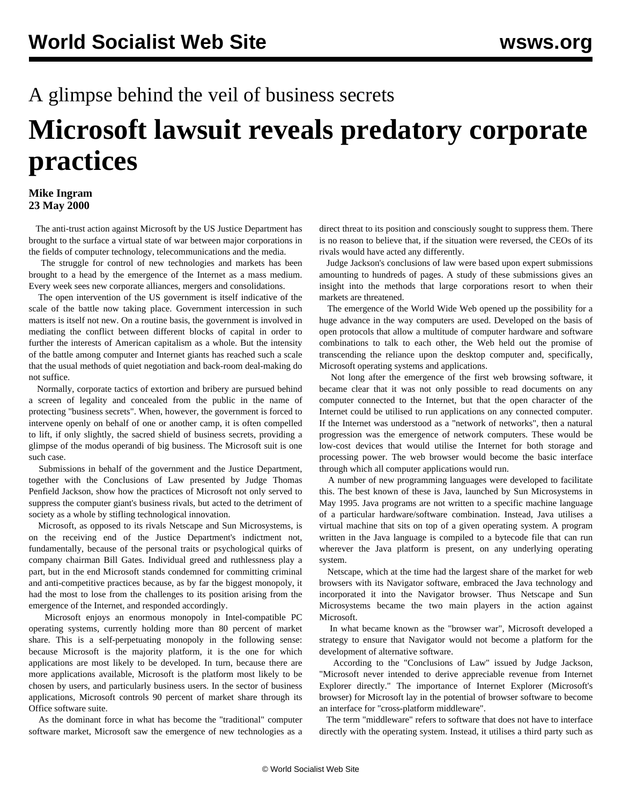## A glimpse behind the veil of business secrets

## **Microsoft lawsuit reveals predatory corporate practices**

## **Mike Ingram 23 May 2000**

 The anti-trust action against Microsoft by the US Justice Department has brought to the surface a virtual state of war between major corporations in the fields of computer technology, telecommunications and the media.

 The struggle for control of new technologies and markets has been brought to a head by the emergence of the Internet as a mass medium. Every week sees new corporate alliances, mergers and consolidations.

 The open intervention of the US government is itself indicative of the scale of the battle now taking place. Government intercession in such matters is itself not new. On a routine basis, the government is involved in mediating the conflict between different blocks of capital in order to further the interests of American capitalism as a whole. But the intensity of the battle among computer and Internet giants has reached such a scale that the usual methods of quiet negotiation and back-room deal-making do not suffice.

 Normally, corporate tactics of extortion and bribery are pursued behind a screen of legality and concealed from the public in the name of protecting "business secrets". When, however, the government is forced to intervene openly on behalf of one or another camp, it is often compelled to lift, if only slightly, the sacred shield of business secrets, providing a glimpse of the modus operandi of big business. The Microsoft suit is one such case.

 Submissions in behalf of the government and the Justice Department, together with the Conclusions of Law presented by Judge Thomas Penfield Jackson, show how the practices of Microsoft not only served to suppress the computer giant's business rivals, but acted to the detriment of society as a whole by stifling technological innovation.

 Microsoft, as opposed to its rivals Netscape and Sun Microsystems, is on the receiving end of the Justice Department's indictment not, fundamentally, because of the personal traits or psychological quirks of company chairman Bill Gates. Individual greed and ruthlessness play a part, but in the end Microsoft stands condemned for committing criminal and anti-competitive practices because, as by far the biggest monopoly, it had the most to lose from the challenges to its position arising from the emergence of the Internet, and responded accordingly.

 Microsoft enjoys an enormous monopoly in Intel-compatible PC operating systems, currently holding more than 80 percent of market share. This is a self-perpetuating monopoly in the following sense: because Microsoft is the majority platform, it is the one for which applications are most likely to be developed. In turn, because there are more applications available, Microsoft is the platform most likely to be chosen by users, and particularly business users. In the sector of business applications, Microsoft controls 90 percent of market share through its Office software suite.

 As the dominant force in what has become the "traditional" computer software market, Microsoft saw the emergence of new technologies as a direct threat to its position and consciously sought to suppress them. There is no reason to believe that, if the situation were reversed, the CEOs of its rivals would have acted any differently.

 Judge Jackson's conclusions of law were based upon expert submissions amounting to hundreds of pages. A study of these submissions gives an insight into the methods that large corporations resort to when their markets are threatened.

 The emergence of the World Wide Web opened up the possibility for a huge advance in the way computers are used. Developed on the basis of open protocols that allow a multitude of computer hardware and software combinations to talk to each other, the Web held out the promise of transcending the reliance upon the desktop computer and, specifically, Microsoft operating systems and applications.

 Not long after the emergence of the first web browsing software, it became clear that it was not only possible to read documents on any computer connected to the Internet, but that the open character of the Internet could be utilised to run applications on any connected computer. If the Internet was understood as a "network of networks", then a natural progression was the emergence of network computers. These would be low-cost devices that would utilise the Internet for both storage and processing power. The web browser would become the basic interface through which all computer applications would run.

 A number of new programming languages were developed to facilitate this. The best known of these is Java, launched by Sun Microsystems in May 1995. Java programs are not written to a specific machine language of a particular hardware/software combination. Instead, Java utilises a virtual machine that sits on top of a given operating system. A program written in the Java language is compiled to a bytecode file that can run wherever the Java platform is present, on any underlying operating system.

 Netscape, which at the time had the largest share of the market for web browsers with its Navigator software, embraced the Java technology and incorporated it into the Navigator browser. Thus Netscape and Sun Microsystems became the two main players in the action against Microsoft.

 In what became known as the "browser war", Microsoft developed a strategy to ensure that Navigator would not become a platform for the development of alternative software.

 According to the "Conclusions of Law" issued by Judge Jackson, "Microsoft never intended to derive appreciable revenue from Internet Explorer directly." The importance of Internet Explorer (Microsoft's browser) for Microsoft lay in the potential of browser software to become an interface for "cross-platform middleware".

 The term "middleware" refers to software that does not have to interface directly with the operating system. Instead, it utilises a third party such as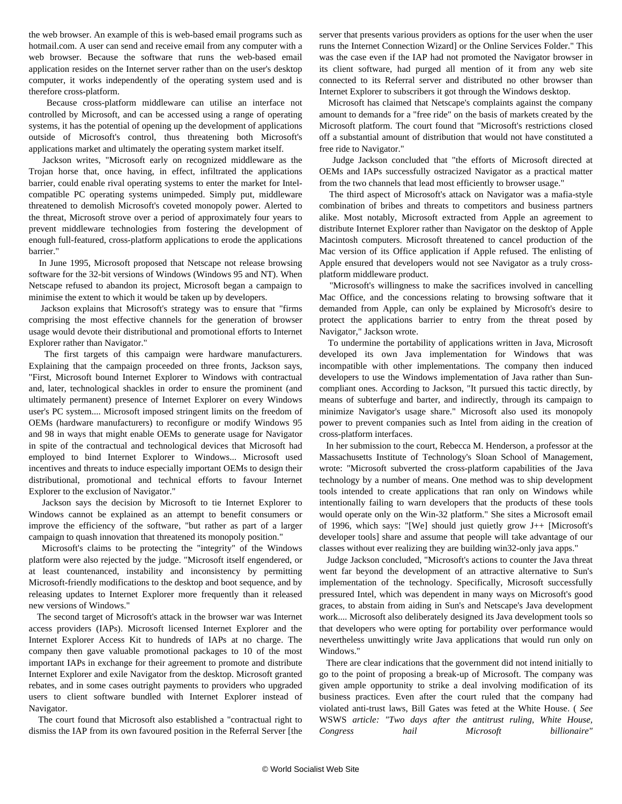the web browser. An example of this is web-based email programs such as hotmail.com. A user can send and receive email from any computer with a web browser. Because the software that runs the web-based email application resides on the Internet server rather than on the user's desktop computer, it works independently of the operating system used and is therefore cross-platform.

 Because cross-platform middleware can utilise an interface not controlled by Microsoft, and can be accessed using a range of operating systems, it has the potential of opening up the development of applications outside of Microsoft's control, thus threatening both Microsoft's applications market and ultimately the operating system market itself.

 Jackson writes, "Microsoft early on recognized middleware as the Trojan horse that, once having, in effect, infiltrated the applications barrier, could enable rival operating systems to enter the market for Intelcompatible PC operating systems unimpeded. Simply put, middleware threatened to demolish Microsoft's coveted monopoly power. Alerted to the threat, Microsoft strove over a period of approximately four years to prevent middleware technologies from fostering the development of enough full-featured, cross-platform applications to erode the applications barrier."

 In June 1995, Microsoft proposed that Netscape not release browsing software for the 32-bit versions of Windows (Windows 95 and NT). When Netscape refused to abandon its project, Microsoft began a campaign to minimise the extent to which it would be taken up by developers.

 Jackson explains that Microsoft's strategy was to ensure that "firms comprising the most effective channels for the generation of browser usage would devote their distributional and promotional efforts to Internet Explorer rather than Navigator."

 The first targets of this campaign were hardware manufacturers. Explaining that the campaign proceeded on three fronts, Jackson says, "First, Microsoft bound Internet Explorer to Windows with contractual and, later, technological shackles in order to ensure the prominent (and ultimately permanent) presence of Internet Explorer on every Windows user's PC system.... Microsoft imposed stringent limits on the freedom of OEMs (hardware manufacturers) to reconfigure or modify Windows 95 and 98 in ways that might enable OEMs to generate usage for Navigator in spite of the contractual and technological devices that Microsoft had employed to bind Internet Explorer to Windows... Microsoft used incentives and threats to induce especially important OEMs to design their distributional, promotional and technical efforts to favour Internet Explorer to the exclusion of Navigator."

 Jackson says the decision by Microsoft to tie Internet Explorer to Windows cannot be explained as an attempt to benefit consumers or improve the efficiency of the software, "but rather as part of a larger campaign to quash innovation that threatened its monopoly position."

 Microsoft's claims to be protecting the "integrity" of the Windows platform were also rejected by the judge. "Microsoft itself engendered, or at least countenanced, instability and inconsistency by permitting Microsoft-friendly modifications to the desktop and boot sequence, and by releasing updates to Internet Explorer more frequently than it released new versions of Windows."

 The second target of Microsoft's attack in the browser war was Internet access providers (IAPs). Microsoft licensed Internet Explorer and the Internet Explorer Access Kit to hundreds of IAPs at no charge. The company then gave valuable promotional packages to 10 of the most important IAPs in exchange for their agreement to promote and distribute Internet Explorer and exile Navigator from the desktop. Microsoft granted rebates, and in some cases outright payments to providers who upgraded users to client software bundled with Internet Explorer instead of Navigator.

 The court found that Microsoft also established a "contractual right to dismiss the IAP from its own favoured position in the Referral Server [the server that presents various providers as options for the user when the user runs the Internet Connection Wizard] or the Online Services Folder." This was the case even if the IAP had not promoted the Navigator browser in its client software, had purged all mention of it from any web site connected to its Referral server and distributed no other browser than Internet Explorer to subscribers it got through the Windows desktop.

 Microsoft has claimed that Netscape's complaints against the company amount to demands for a "free ride" on the basis of markets created by the Microsoft platform. The court found that "Microsoft's restrictions closed off a substantial amount of distribution that would not have constituted a free ride to Navigator."

 Judge Jackson concluded that "the efforts of Microsoft directed at OEMs and IAPs successfully ostracized Navigator as a practical matter from the two channels that lead most efficiently to browser usage."

 The third aspect of Microsoft's attack on Navigator was a mafia-style combination of bribes and threats to competitors and business partners alike. Most notably, Microsoft extracted from Apple an agreement to distribute Internet Explorer rather than Navigator on the desktop of Apple Macintosh computers. Microsoft threatened to cancel production of the Mac version of its Office application if Apple refused. The enlisting of Apple ensured that developers would not see Navigator as a truly crossplatform middleware product.

 "Microsoft's willingness to make the sacrifices involved in cancelling Mac Office, and the concessions relating to browsing software that it demanded from Apple, can only be explained by Microsoft's desire to protect the applications barrier to entry from the threat posed by Navigator," Jackson wrote.

 To undermine the portability of applications written in Java, Microsoft developed its own Java implementation for Windows that was incompatible with other implementations. The company then induced developers to use the Windows implementation of Java rather than Suncompliant ones. According to Jackson, "It pursued this tactic directly, by means of subterfuge and barter, and indirectly, through its campaign to minimize Navigator's usage share." Microsoft also used its monopoly power to prevent companies such as Intel from aiding in the creation of cross-platform interfaces.

 In her submission to the court, Rebecca M. Henderson, a professor at the Massachusetts Institute of Technology's Sloan School of Management, wrote: "Microsoft subverted the cross-platform capabilities of the Java technology by a number of means. One method was to ship development tools intended to create applications that ran only on Windows while intentionally failing to warn developers that the products of these tools would operate only on the Win-32 platform." She sites a Microsoft email of 1996, which says: "[We] should just quietly grow J++ [Microsoft's developer tools] share and assume that people will take advantage of our classes without ever realizing they are building win32-only java apps."

 Judge Jackson concluded, "Microsoft's actions to counter the Java threat went far beyond the development of an attractive alternative to Sun's implementation of the technology. Specifically, Microsoft successfully pressured Intel, which was dependent in many ways on Microsoft's good graces, to abstain from aiding in Sun's and Netscape's Java development work.... Microsoft also deliberately designed its Java development tools so that developers who were opting for portability over performance would nevertheless unwittingly write Java applications that would run only on Windows."

 There are clear indications that the government did not intend initially to go to the point of proposing a break-up of Microsoft. The company was given ample opportunity to strike a deal involving modification of its business practices. Even after the court ruled that the company had violated anti-trust laws, Bill Gates was feted at the White House. ( *See* WSWS *article: "Two days after the antitrust ruling, White House, Congress hail Microsoft billionaire"*